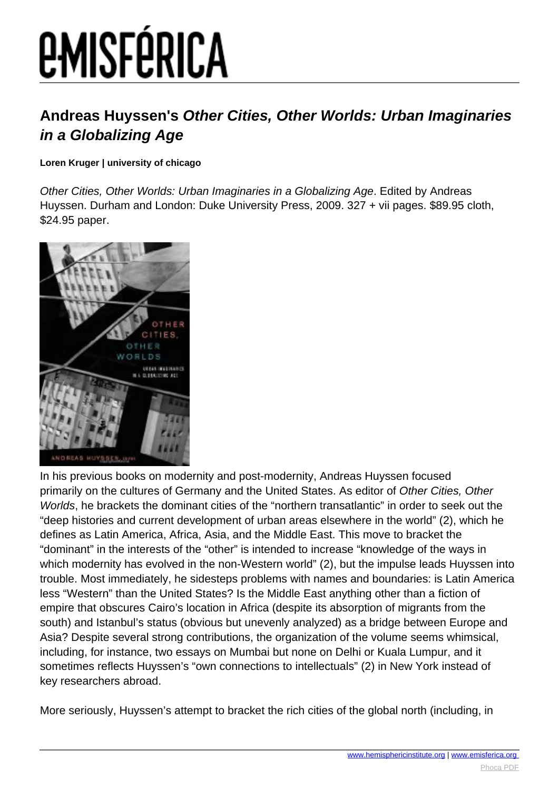## *EMISFÉRICA*

## **Andreas Huyssen's Other Cities, Other Worlds: Urban Imaginaries in a Globalizing Age**

**Loren Kruger | university of chicago**

Other Cities, Other Worlds: Urban Imaginaries in a Globalizing Age. Edited by Andreas Huyssen. Durham and London: Duke University Press, 2009. 327 + vii pages. \$89.95 cloth, \$24.95 paper.



In his previous books on modernity and post-modernity, Andreas Huyssen focused primarily on the cultures of Germany and the United States. As editor of Other Cities, Other Worlds, he brackets the dominant cities of the "northern transatlantic" in order to seek out the "deep histories and current development of urban areas elsewhere in the world" (2), which he defines as Latin America, Africa, Asia, and the Middle East. This move to bracket the "dominant" in the interests of the "other" is intended to increase "knowledge of the ways in which modernity has evolved in the non-Western world" (2), but the impulse leads Huyssen into trouble. Most immediately, he sidesteps problems with names and boundaries: is Latin America less "Western" than the United States? Is the Middle East anything other than a fiction of empire that obscures Cairo's location in Africa (despite its absorption of migrants from the south) and Istanbul's status (obvious but unevenly analyzed) as a bridge between Europe and Asia? Despite several strong contributions, the organization of the volume seems whimsical, including, for instance, two essays on Mumbai but none on Delhi or Kuala Lumpur, and it sometimes reflects Huyssen's "own connections to intellectuals" (2) in New York instead of key researchers abroad.

More seriously, Huyssen's attempt to bracket the rich cities of the global north (including, in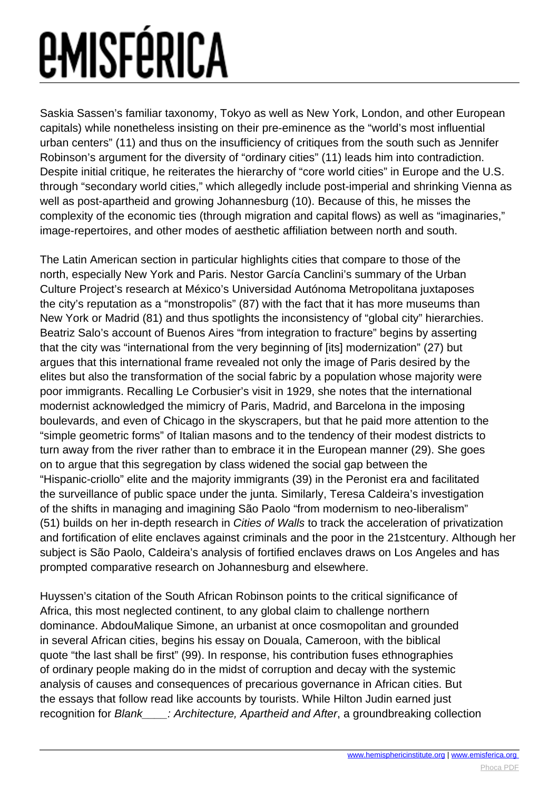## *EMISFÉRICA*

Saskia Sassen's familiar taxonomy, Tokyo as well as New York, London, and other European capitals) while nonetheless insisting on their pre-eminence as the "world's most influential urban centers" (11) and thus on the insufficiency of critiques from the south such as Jennifer Robinson's argument for the diversity of "ordinary cities" (11) leads him into contradiction. Despite initial critique, he reiterates the hierarchy of "core world cities" in Europe and the U.S. through "secondary world cities," which allegedly include post-imperial and shrinking Vienna as well as post-apartheid and growing Johannesburg (10). Because of this, he misses the complexity of the economic ties (through migration and capital flows) as well as "imaginaries," image-repertoires, and other modes of aesthetic affiliation between north and south.

The Latin American section in particular highlights cities that compare to those of the north, especially New York and Paris. Nestor García Canclini's summary of the Urban Culture Project's research at México's Universidad Autónoma Metropolitana juxtaposes the city's reputation as a "monstropolis" (87) with the fact that it has more museums than New York or Madrid (81) and thus spotlights the inconsistency of "global city" hierarchies. Beatriz Salo's account of Buenos Aires "from integration to fracture" begins by asserting that the city was "international from the very beginning of [its] modernization" (27) but argues that this international frame revealed not only the image of Paris desired by the elites but also the transformation of the social fabric by a population whose majority were poor immigrants. Recalling Le Corbusier's visit in 1929, she notes that the international modernist acknowledged the mimicry of Paris, Madrid, and Barcelona in the imposing boulevards, and even of Chicago in the skyscrapers, but that he paid more attention to the "simple geometric forms" of Italian masons and to the tendency of their modest districts to turn away from the river rather than to embrace it in the European manner (29). She goes on to argue that this segregation by class widened the social gap between the "Hispanic-criollo" elite and the majority immigrants (39) in the Peronist era and facilitated the surveillance of public space under the junta. Similarly, Teresa Caldeira's investigation of the shifts in managing and imagining São Paolo "from modernism to neo-liberalism" (51) builds on her in-depth research in Cities of Walls to track the acceleration of privatization and fortification of elite enclaves against criminals and the poor in the 21stcentury. Although her subject is São Paolo, Caldeira's analysis of fortified enclaves draws on Los Angeles and has prompted comparative research on Johannesburg and elsewhere.

Huyssen's citation of the South African Robinson points to the critical significance of Africa, this most neglected continent, to any global claim to challenge northern dominance. AbdouMalique Simone, an urbanist at once cosmopolitan and grounded in several African cities, begins his essay on Douala, Cameroon, with the biblical quote "the last shall be first" (99). In response, his contribution fuses ethnographies of ordinary people making do in the midst of corruption and decay with the systemic analysis of causes and consequences of precarious governance in African cities. But the essays that follow read like accounts by tourists. While Hilton Judin earned just recognition for Blank : Architecture, Apartheid and After, a groundbreaking collection